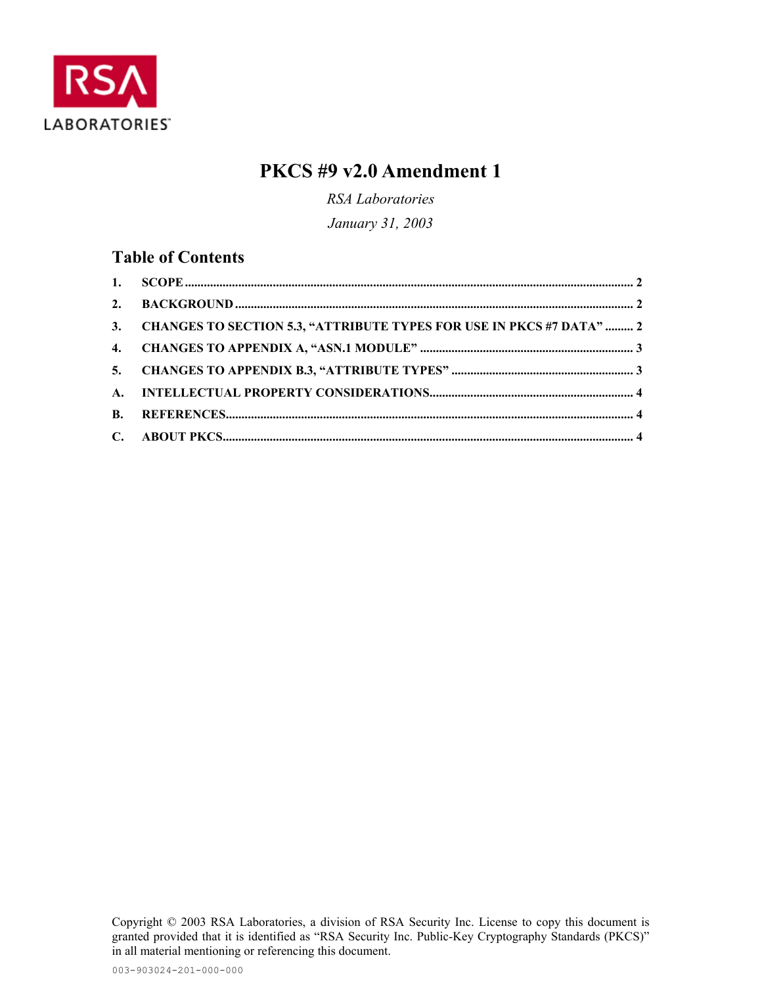

# **PKCS #9 v2.0 Amendment 1**

*RSA Laboratories January 31, 2003* 

## **Table of Contents**

| 3. CHANGES TO SECTION 5.3, "ATTRIBUTE TYPES FOR USE IN PKCS #7 DATA"  2 |  |
|-------------------------------------------------------------------------|--|
|                                                                         |  |
|                                                                         |  |
|                                                                         |  |
|                                                                         |  |
|                                                                         |  |

Copyright © 2003 RSA Laboratories, a division of RSA Security Inc. License to copy this document is granted provided that it is identified as "RSA Security Inc. Public-Key Cryptography Standards (PKCS)" in all material mentioning or referencing this document.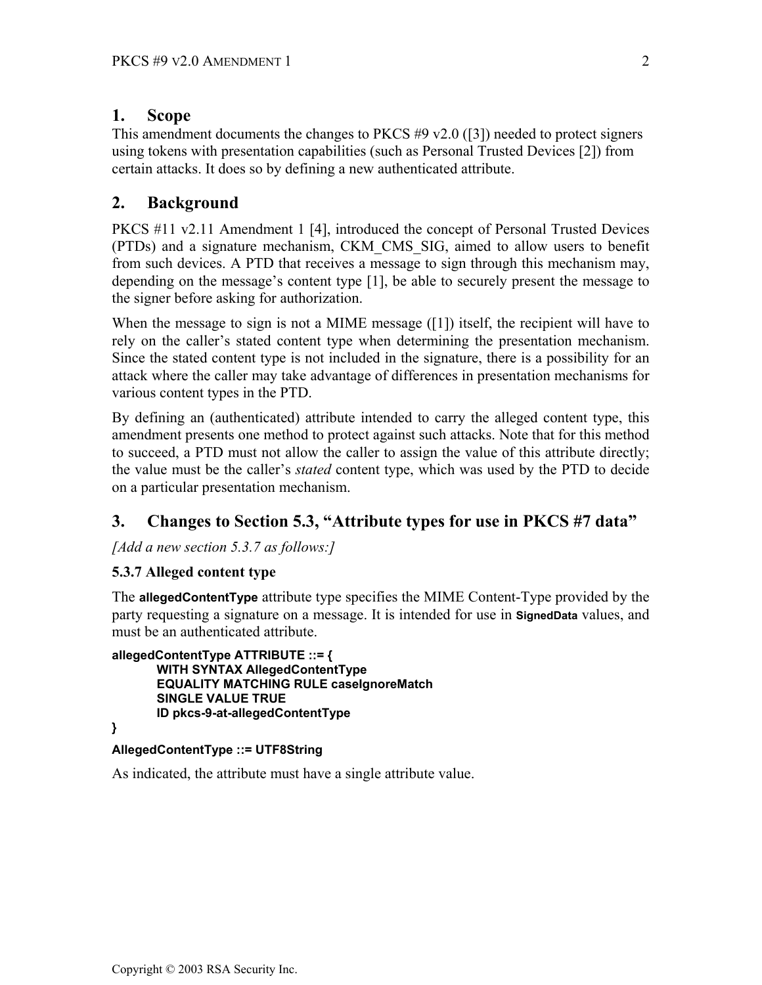#### <span id="page-1-0"></span>**1. Scope**

This amendment documents the changes to PKCS #9 v2.0 [\(\[3\]\)](#page-3-1) needed to protect signers using tokens with presentation capabilities (such as Personal Trusted Devices [\[2\]\)](#page-3-2) from certain attacks. It does so by defining a new authenticated attribute.

# **2. Background**

PKCS #11 v2.11 Amendment 1 [\[4\],](#page-3-3) introduced the concept of Personal Trusted Devices (PTDs) and a signature mechanism, CKM\_CMS\_SIG, aimed to allow users to benefit from such devices. A PTD that receives a message to sign through this mechanism may, depending on the message's content type [\[1\],](#page-3-4) be able to securely present the message to the signer before asking for authorization.

When the message to sign is not a MIME message  $([1])$  itself, the recipient will have to rely on the caller's stated content type when determining the presentation mechanism. Since the stated content type is not included in the signature, there is a possibility for an attack where the caller may take advantage of differences in presentation mechanisms for various content types in the PTD.

By defining an (authenticated) attribute intended to carry the alleged content type, this amendment presents one method to protect against such attacks. Note that for this method to succeed, a PTD must not allow the caller to assign the value of this attribute directly; the value must be the caller's *stated* content type, which was used by the PTD to decide on a particular presentation mechanism.

# **3. Changes to Section 5.3, "Attribute types for use in PKCS #7 data"**

*[Add a new section 5.3.7 as follows:]*

#### **5.3.7 Alleged content type**

The **allegedContentType** attribute type specifies the MIME Content-Type provided by the party requesting a signature on a message. It is intended for use in **SignedData** values, and must be an authenticated attribute.

```
allegedContentType ATTRIBUTE ::= { 
      WITH SYNTAX AllegedContentType 
      EQUALITY MATCHING RULE caseIgnoreMatch 
      SINGLE VALUE TRUE 
       ID pkcs-9-at-allegedContentType
```
#### **}**

#### **AllegedContentType ::= UTF8String**

As indicated, the attribute must have a single attribute value.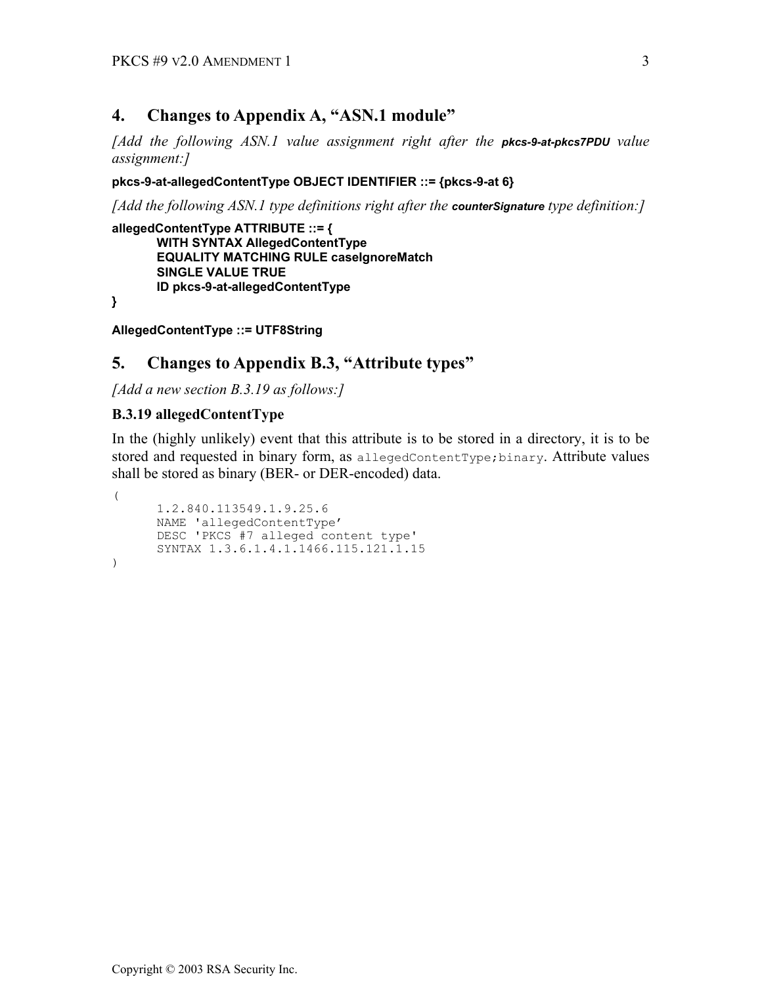### <span id="page-2-0"></span>**4. Changes to Appendix A, "ASN.1 module"**

*[Add the following ASN.1 value assignment right after the pkcs-9-at-pkcs7PDU value assignment:]*

#### **pkcs-9-at-allegedContentType OBJECT IDENTIFIER ::= {pkcs-9-at 6}**

*[Add the following ASN.1 type definitions right after the counterSignature type definition:]*

**allegedContentType ATTRIBUTE ::= { WITH SYNTAX AllegedContentType EQUALITY MATCHING RULE caseIgnoreMatch SINGLE VALUE TRUE ID pkcs-9-at-allegedContentType** 

**}** 

**AllegedContentType ::= UTF8String** 

### **5. Changes to Appendix B.3, "Attribute types"**

*[Add a new section B.3.19 as follows:]*

#### **B.3.19 allegedContentType**

In the (highly unlikely) event that this attribute is to be stored in a directory, it is to be stored and requested in binary form, as allegedContentType; binary. Attribute values shall be stored as binary (BER- or DER-encoded) data.

```
( 
       1.2.840.113549.1.9.25.6 
       NAME 'allegedContentType' 
       DESC 'PKCS #7 alleged content type' 
       SYNTAX 1.3.6.1.4.1.1466.115.121.1.15 
)
```